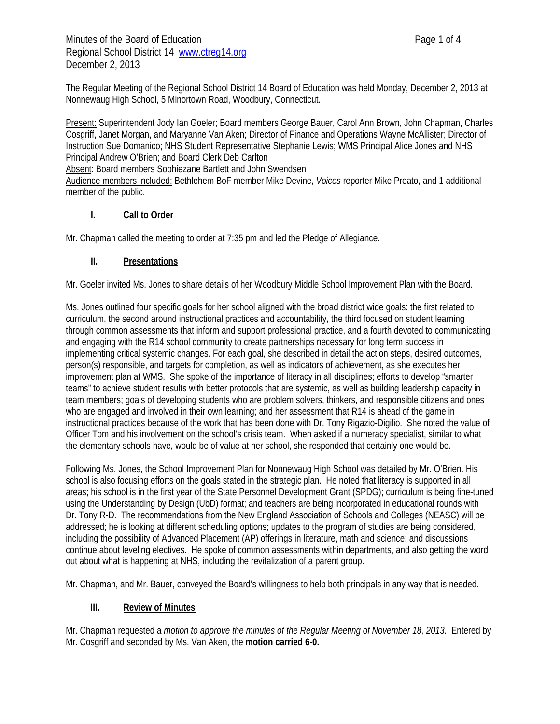The Regular Meeting of the Regional School District 14 Board of Education was held Monday, December 2, 2013 at Nonnewaug High School, 5 Minortown Road, Woodbury, Connecticut.

Present: Superintendent Jody Ian Goeler; Board members George Bauer, Carol Ann Brown, John Chapman, Charles Cosgriff, Janet Morgan, and Maryanne Van Aken; Director of Finance and Operations Wayne McAllister; Director of Instruction Sue Domanico; NHS Student Representative Stephanie Lewis; WMS Principal Alice Jones and NHS Principal Andrew O'Brien; and Board Clerk Deb Carlton

Absent: Board members Sophiezane Bartlett and John Swendsen

Audience members included: Bethlehem BoF member Mike Devine, *Voices* reporter Mike Preato, and 1 additional member of the public.

## **I. Call to Order**

Mr. Chapman called the meeting to order at 7:35 pm and led the Pledge of Allegiance.

# **II. Presentations**

Mr. Goeler invited Ms. Jones to share details of her Woodbury Middle School Improvement Plan with the Board.

Ms. Jones outlined four specific goals for her school aligned with the broad district wide goals: the first related to curriculum, the second around instructional practices and accountability, the third focused on student learning through common assessments that inform and support professional practice, and a fourth devoted to communicating and engaging with the R14 school community to create partnerships necessary for long term success in implementing critical systemic changes. For each goal, she described in detail the action steps, desired outcomes, person(s) responsible, and targets for completion, as well as indicators of achievement, as she executes her improvement plan at WMS. She spoke of the importance of literacy in all disciplines; efforts to develop "smarter teams" to achieve student results with better protocols that are systemic, as well as building leadership capacity in team members; goals of developing students who are problem solvers, thinkers, and responsible citizens and ones who are engaged and involved in their own learning; and her assessment that R14 is ahead of the game in instructional practices because of the work that has been done with Dr. Tony Rigazio-Digilio. She noted the value of Officer Tom and his involvement on the school's crisis team. When asked if a numeracy specialist, similar to what the elementary schools have, would be of value at her school, she responded that certainly one would be.

Following Ms. Jones, the School Improvement Plan for Nonnewaug High School was detailed by Mr. O'Brien. His school is also focusing efforts on the goals stated in the strategic plan. He noted that literacy is supported in all areas; his school is in the first year of the State Personnel Development Grant (SPDG); curriculum is being fine-tuned using the Understanding by Design (UbD) format; and teachers are being incorporated in educational rounds with Dr. Tony R-D. The recommendations from the New England Association of Schools and Colleges (NEASC) will be addressed; he is looking at different scheduling options; updates to the program of studies are being considered, including the possibility of Advanced Placement (AP) offerings in literature, math and science; and discussions continue about leveling electives. He spoke of common assessments within departments, and also getting the word out about what is happening at NHS, including the revitalization of a parent group.

Mr. Chapman, and Mr. Bauer, conveyed the Board's willingness to help both principals in any way that is needed.

### **III. Review of Minutes**

Mr. Chapman requested a *motion to approve the minutes of the Regular Meeting of November 18, 2013.* Entered by Mr. Cosgriff and seconded by Ms. Van Aken, the **motion carried 6-0.**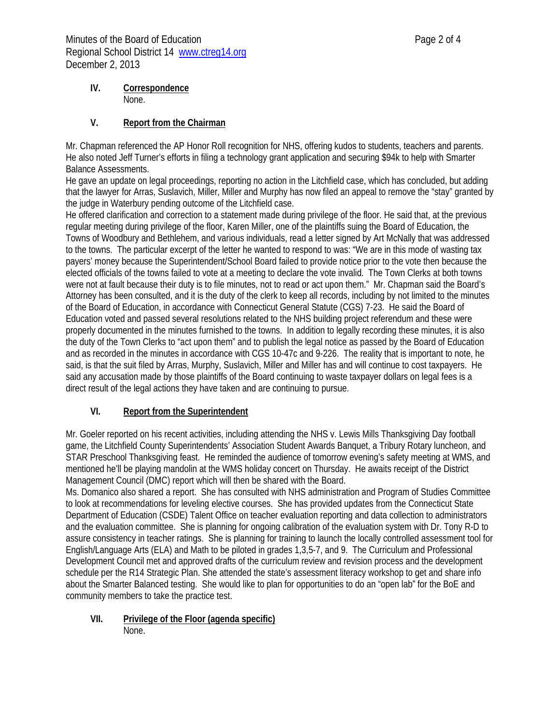### **IV. Correspondence**  None.

## **V. Report from the Chairman**

Mr. Chapman referenced the AP Honor Roll recognition for NHS, offering kudos to students, teachers and parents. He also noted Jeff Turner's efforts in filing a technology grant application and securing \$94k to help with Smarter Balance Assessments.

He gave an update on legal proceedings, reporting no action in the Litchfield case, which has concluded, but adding that the lawyer for Arras, Suslavich, Miller, Miller and Murphy has now filed an appeal to remove the "stay" granted by the judge in Waterbury pending outcome of the Litchfield case.

He offered clarification and correction to a statement made during privilege of the floor. He said that, at the previous regular meeting during privilege of the floor, Karen Miller, one of the plaintiffs suing the Board of Education, the Towns of Woodbury and Bethlehem, and various individuals, read a letter signed by Art McNally that was addressed to the towns. The particular excerpt of the letter he wanted to respond to was: "We are in this mode of wasting tax payers' money because the Superintendent/School Board failed to provide notice prior to the vote then because the elected officials of the towns failed to vote at a meeting to declare the vote invalid. The Town Clerks at both towns were not at fault because their duty is to file minutes, not to read or act upon them." Mr. Chapman said the Board's Attorney has been consulted, and it is the duty of the clerk to keep all records, including by not limited to the minutes of the Board of Education, in accordance with Connecticut General Statute (CGS) 7-23. He said the Board of Education voted and passed several resolutions related to the NHS building project referendum and these were properly documented in the minutes furnished to the towns. In addition to legally recording these minutes, it is also the duty of the Town Clerks to "act upon them" and to publish the legal notice as passed by the Board of Education and as recorded in the minutes in accordance with CGS 10-47c and 9-226. The reality that is important to note, he said, is that the suit filed by Arras, Murphy, Suslavich, Miller and Miller has and will continue to cost taxpayers. He said any accusation made by those plaintiffs of the Board continuing to waste taxpayer dollars on legal fees is a direct result of the legal actions they have taken and are continuing to pursue.

# **VI. Report from the Superintendent**

Mr. Goeler reported on his recent activities, including attending the NHS v. Lewis Mills Thanksgiving Day football game, the Litchfield County Superintendents' Association Student Awards Banquet, a Tribury Rotary luncheon, and STAR Preschool Thanksgiving feast. He reminded the audience of tomorrow evening's safety meeting at WMS, and mentioned he'll be playing mandolin at the WMS holiday concert on Thursday. He awaits receipt of the District Management Council (DMC) report which will then be shared with the Board.

Ms. Domanico also shared a report. She has consulted with NHS administration and Program of Studies Committee to look at recommendations for leveling elective courses. She has provided updates from the Connecticut State Department of Education (CSDE) Talent Office on teacher evaluation reporting and data collection to administrators and the evaluation committee. She is planning for ongoing calibration of the evaluation system with Dr. Tony R-D to assure consistency in teacher ratings. She is planning for training to launch the locally controlled assessment tool for English/Language Arts (ELA) and Math to be piloted in grades 1,3,5-7, and 9. The Curriculum and Professional Development Council met and approved drafts of the curriculum review and revision process and the development schedule per the R14 Strategic Plan. She attended the state's assessment literacy workshop to get and share info about the Smarter Balanced testing. She would like to plan for opportunities to do an "open lab" for the BoE and community members to take the practice test.

#### **VII. Privilege of the Floor (agenda specific)**  None.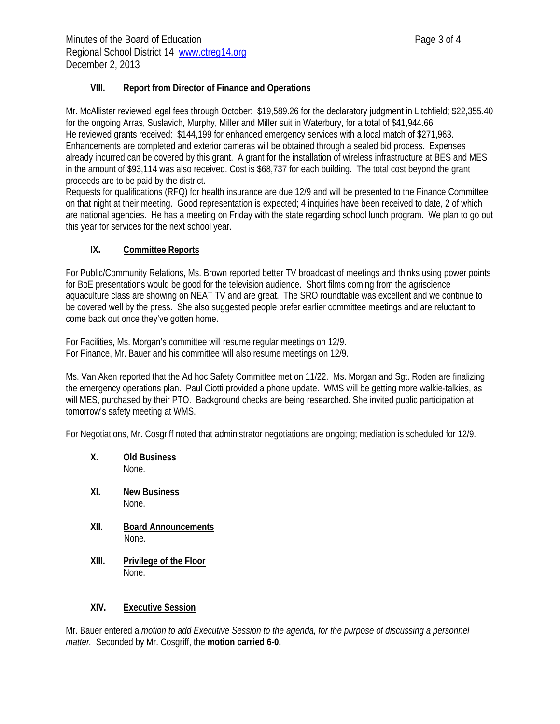### **VIII. Report from Director of Finance and Operations**

Mr. McAllister reviewed legal fees through October: \$19,589.26 for the declaratory judgment in Litchfield; \$22,355.40 for the ongoing Arras, Suslavich, Murphy, Miller and Miller suit in Waterbury, for a total of \$41,944.66. He reviewed grants received: \$144,199 for enhanced emergency services with a local match of \$271,963. Enhancements are completed and exterior cameras will be obtained through a sealed bid process. Expenses already incurred can be covered by this grant. A grant for the installation of wireless infrastructure at BES and MES in the amount of \$93,114 was also received. Cost is \$68,737 for each building. The total cost beyond the grant proceeds are to be paid by the district.

Requests for qualifications (RFQ) for health insurance are due 12/9 and will be presented to the Finance Committee on that night at their meeting. Good representation is expected; 4 inquiries have been received to date, 2 of which are national agencies. He has a meeting on Friday with the state regarding school lunch program. We plan to go out this year for services for the next school year.

## **IX. Committee Reports**

For Public/Community Relations, Ms. Brown reported better TV broadcast of meetings and thinks using power points for BoE presentations would be good for the television audience. Short films coming from the agriscience aquaculture class are showing on NEAT TV and are great. The SRO roundtable was excellent and we continue to be covered well by the press. She also suggested people prefer earlier committee meetings and are reluctant to come back out once they've gotten home.

For Facilities, Ms. Morgan's committee will resume regular meetings on 12/9. For Finance, Mr. Bauer and his committee will also resume meetings on 12/9.

Ms. Van Aken reported that the Ad hoc Safety Committee met on 11/22. Ms. Morgan and Sgt. Roden are finalizing the emergency operations plan. Paul Ciotti provided a phone update. WMS will be getting more walkie-talkies, as will MES, purchased by their PTO. Background checks are being researched. She invited public participation at tomorrow's safety meeting at WMS.

For Negotiations, Mr. Cosgriff noted that administrator negotiations are ongoing; mediation is scheduled for 12/9.

- **X. Old Business** None.
- **XI. New Business** None.
- **XII. Board Announcements**  None.
- **XIII. Privilege of the Floor**  None.

### **XIV. Executive Session**

Mr. Bauer entered a *motion to add Executive Session to the agenda, for the purpose of discussing a personnel matter.* Seconded by Mr. Cosgriff, the **motion carried 6-0.**